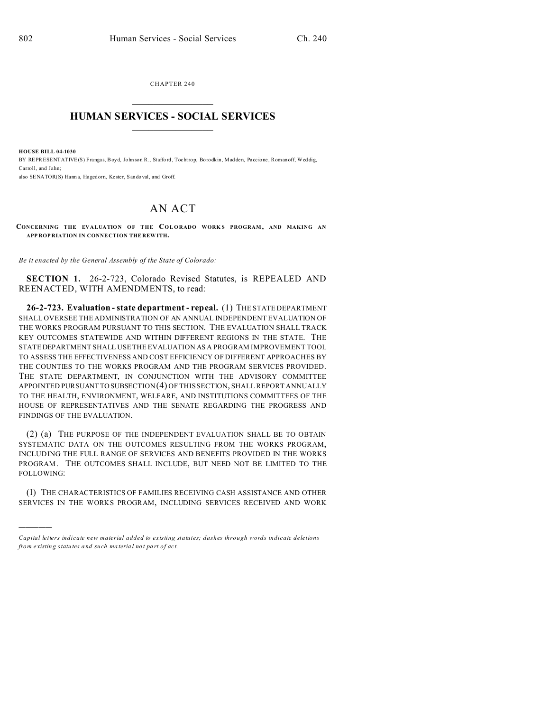CHAPTER 240  $\overline{\phantom{a}}$  , where  $\overline{\phantom{a}}$ 

## **HUMAN SERVICES - SOCIAL SERVICES**  $\frac{1}{2}$  ,  $\frac{1}{2}$  ,  $\frac{1}{2}$  ,  $\frac{1}{2}$  ,  $\frac{1}{2}$  ,  $\frac{1}{2}$  ,  $\frac{1}{2}$

**HOUSE BILL 04-1030**

)))))

BY REPRESENTATIVE(S) Frangas, Boyd, John son R., Stafford, Tochtrop, Borodkin, Madden, Paccione, Romanoff, Weddig, Carroll, and Jahn; also SENATOR(S) Hann a, Hagedorn, Kester, Sando val, and Groff.

## AN ACT

**CONCERNING THE EVALUATION OF THE COLORADO WORK S PROGRAM , AND MAKING AN APP ROP RIATION IN CONNE CTION THE REW ITH.**

*Be it enacted by the General Assembly of the State of Colorado:*

**SECTION 1.** 26-2-723, Colorado Revised Statutes, is REPEALED AND REENACTED, WITH AMENDMENTS, to read:

**26-2-723. Evaluation - state department - repeal.** (1) THE STATE DEPARTMENT SHALL OVERSEE THE ADMINISTRATION OF AN ANNUAL INDEPENDENT EVALUATION OF THE WORKS PROGRAM PURSUANT TO THIS SECTION. THE EVALUATION SHALL TRACK KEY OUTCOMES STATEWIDE AND WITHIN DIFFERENT REGIONS IN THE STATE. THE STATEDEPARTMENT SHALL USE THE EVALUATION AS A PROGRAM IMPROVEMENT TOOL TO ASSESS THE EFFECTIVENESS AND COST EFFICIENCY OF DIFFERENT APPROACHES BY THE COUNTIES TO THE WORKS PROGRAM AND THE PROGRAM SERVICES PROVIDED. THE STATE DEPARTMENT, IN CONJUNCTION WITH THE ADVISORY COMMITTEE APPOINTED PURSUANTTO SUBSECTION (4) OF THIS SECTION, SHALL REPORT ANNUALLY TO THE HEALTH, ENVIRONMENT, WELFARE, AND INSTITUTIONS COMMITTEES OF THE HOUSE OF REPRESENTATIVES AND THE SENATE REGARDING THE PROGRESS AND FINDINGS OF THE EVALUATION.

(2) (a) THE PURPOSE OF THE INDEPENDENT EVALUATION SHALL BE TO OBTAIN SYSTEMATIC DATA ON THE OUTCOMES RESULTING FROM THE WORKS PROGRAM, INCLUDING THE FULL RANGE OF SERVICES AND BENEFITS PROVIDED IN THE WORKS PROGRAM. THE OUTCOMES SHALL INCLUDE, BUT NEED NOT BE LIMITED TO THE FOLLOWING:

(I) THE CHARACTERISTICS OF FAMILIES RECEIVING CASH ASSISTANCE AND OTHER SERVICES IN THE WORKS PROGRAM, INCLUDING SERVICES RECEIVED AND WORK

*Capital letters indicate new material added to existing statutes; dashes through words indicate deletions from e xistin g statu tes a nd such ma teria l no t pa rt of ac t.*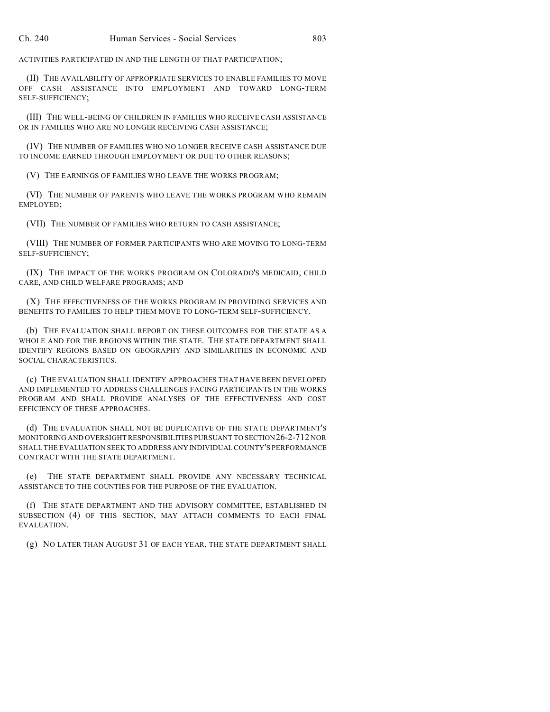ACTIVITIES PARTICIPATED IN AND THE LENGTH OF THAT PARTICIPATION;

(II) THE AVAILABILITY OF APPROPRIATE SERVICES TO ENABLE FAMILIES TO MOVE OFF CASH ASSISTANCE INTO EMPLOYMENT AND TOWARD LONG-TERM SELF-SUFFICIENCY;

(III) THE WELL-BEING OF CHILDREN IN FAMILIES WHO RECEIVE CASH ASSISTANCE OR IN FAMILIES WHO ARE NO LONGER RECEIVING CASH ASSISTANCE;

(IV) THE NUMBER OF FAMILIES WHO NO LONGER RECEIVE CASH ASSISTANCE DUE TO INCOME EARNED THROUGH EMPLOYMENT OR DUE TO OTHER REASONS;

(V) THE EARNINGS OF FAMILIES WHO LEAVE THE WORKS PROGRAM;

(VI) THE NUMBER OF PARENTS WHO LEAVE THE WORKS PROGRAM WHO REMAIN EMPLOYED;

(VII) THE NUMBER OF FAMILIES WHO RETURN TO CASH ASSISTANCE;

(VIII) THE NUMBER OF FORMER PARTICIPANTS WHO ARE MOVING TO LONG-TERM SELF-SUFFICIENCY;

(IX) THE IMPACT OF THE WORKS PROGRAM ON COLORADO'S MEDICAID, CHILD CARE, AND CHILD WELFARE PROGRAMS; AND

(X) THE EFFECTIVENESS OF THE WORKS PROGRAM IN PROVIDING SERVICES AND BENEFITS TO FAMILIES TO HELP THEM MOVE TO LONG-TERM SELF-SUFFICIENCY.

(b) THE EVALUATION SHALL REPORT ON THESE OUTCOMES FOR THE STATE AS A WHOLE AND FOR THE REGIONS WITHIN THE STATE. THE STATE DEPARTMENT SHALL IDENTIFY REGIONS BASED ON GEOGRAPHY AND SIMILARITIES IN ECONOMIC AND SOCIAL CHARACTERISTICS.

(c) THE EVALUATION SHALL IDENTIFY APPROACHES THAT HAVE BEEN DEVELOPED AND IMPLEMENTED TO ADDRESS CHALLENGES FACING PARTICIPANTS IN THE WORKS PROGRAM AND SHALL PROVIDE ANALYSES OF THE EFFECTIVENESS AND COST EFFICIENCY OF THESE APPROACHES.

(d) THE EVALUATION SHALL NOT BE DUPLICATIVE OF THE STATE DEPARTMENT'S MONITORING AND OVERSIGHT RESPONSIBILITIES PURSUANT TO SECTION26-2-712 NOR SHALL THE EVALUATION SEEK TO ADDRESS ANY INDIVIDUAL COUNTY'S PERFORMANCE CONTRACT WITH THE STATE DEPARTMENT.

(e) THE STATE DEPARTMENT SHALL PROVIDE ANY NECESSARY TECHNICAL ASSISTANCE TO THE COUNTIES FOR THE PURPOSE OF THE EVALUATION.

(f) THE STATE DEPARTMENT AND THE ADVISORY COMMITTEE, ESTABLISHED IN SUBSECTION (4) OF THIS SECTION, MAY ATTACH COMMENTS TO EACH FINAL EVALUATION.

(g) NO LATER THAN AUGUST 31 OF EACH YEAR, THE STATE DEPARTMENT SHALL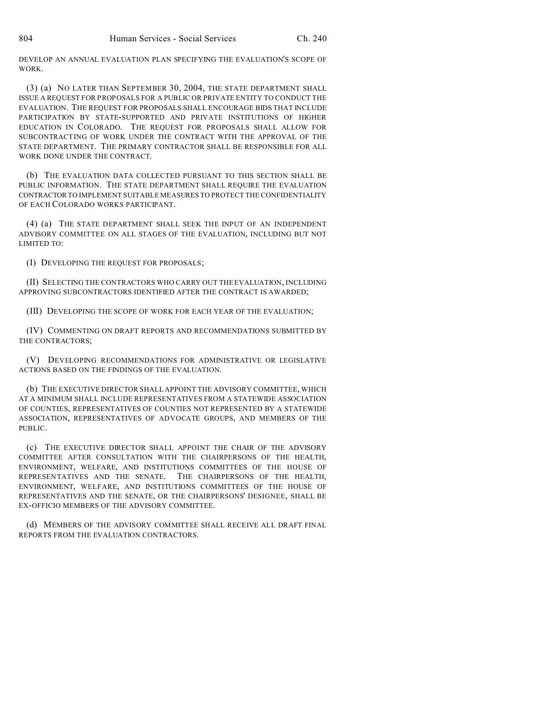DEVELOP AN ANNUAL EVALUATION PLAN SPECIFYING THE EVALUATION'S SCOPE OF WORK.

(3) (a) NO LATER THAN SEPTEMBER 30, 2004, THE STATE DEPARTMENT SHALL ISSUE A REQUEST FOR PROPOSALS FOR A PUBLIC OR PRIVATE ENTITY TO CONDUCT THE EVALUATION. THE REQUEST FOR PROPOSALS SHALL ENCOURAGE BIDS THAT INCLUDE PARTICIPATION BY STATE-SUPPORTED AND PRIVATE INSTITUTIONS OF HIGHER EDUCATION IN COLORADO. THE REQUEST FOR PROPOSALS SHALL ALLOW FOR SUBCONTRACTING OF WORK UNDER THE CONTRACT WITH THE APPROVAL OF THE STATE DEPARTMENT. THE PRIMARY CONTRACTOR SHALL BE RESPONSIBLE FOR ALL WORK DONE UNDER THE CONTRACT.

(b) THE EVALUATION DATA COLLECTED PURSUANT TO THIS SECTION SHALL BE PUBLIC INFORMATION. THE STATE DEPARTMENT SHALL REQUIRE THE EVALUATION CONTRACTOR TO IMPLEMENT SUITABLE MEASURES TO PROTECT THE CONFIDENTIALITY OF EACH COLORADO WORKS PARTICIPANT.

(4) (a) THE STATE DEPARTMENT SHALL SEEK THE INPUT OF AN INDEPENDENT ADVISORY COMMITTEE ON ALL STAGES OF THE EVALUATION, INCLUDING BUT NOT LIMITED TO:

(I) DEVELOPING THE REQUEST FOR PROPOSALS;

(II) SELECTING THE CONTRACTORS WHO CARRY OUT THE EVALUATION, INCLUDING APPROVING SUBCONTRACTORS IDENTIFIED AFTER THE CONTRACT IS AWARDED;

(III) DEVELOPING THE SCOPE OF WORK FOR EACH YEAR OF THE EVALUATION;

(IV) COMMENTING ON DRAFT REPORTS AND RECOMMENDATIONS SUBMITTED BY THE CONTRACTORS;

(V) DEVELOPING RECOMMENDATIONS FOR ADMINISTRATIVE OR LEGISLATIVE ACTIONS BASED ON THE FINDINGS OF THE EVALUATION.

(b) THE EXECUTIVE DIRECTOR SHALL APPOINT THE ADVISORY COMMITTEE, WHICH AT A MINIMUM SHALL INCLUDE REPRESENTATIVES FROM A STATEWIDE ASSOCIATION OF COUNTIES, REPRESENTATIVES OF COUNTIES NOT REPRESENTED BY A STATEWIDE ASSOCIATION, REPRESENTATIVES OF ADVOCATE GROUPS, AND MEMBERS OF THE PUBLIC.

(c) THE EXECUTIVE DIRECTOR SHALL APPOINT THE CHAIR OF THE ADVISORY COMMITTEE AFTER CONSULTATION WITH THE CHAIRPERSONS OF THE HEALTH, ENVIRONMENT, WELFARE, AND INSTITUTIONS COMMITTEES OF THE HOUSE OF REPRESENTATIVES AND THE SENATE. THE CHAIRPERSONS OF THE HEALTH, ENVIRONMENT, WELFARE, AND INSTITUTIONS COMMITTEES OF THE HOUSE OF REPRESENTATIVES AND THE SENATE, OR THE CHAIRPERSONS' DESIGNEE, SHALL BE EX-OFFICIO MEMBERS OF THE ADVISORY COMMITTEE.

(d) MEMBERS OF THE ADVISORY COMMITTEE SHALL RECEIVE ALL DRAFT FINAL REPORTS FROM THE EVALUATION CONTRACTORS.